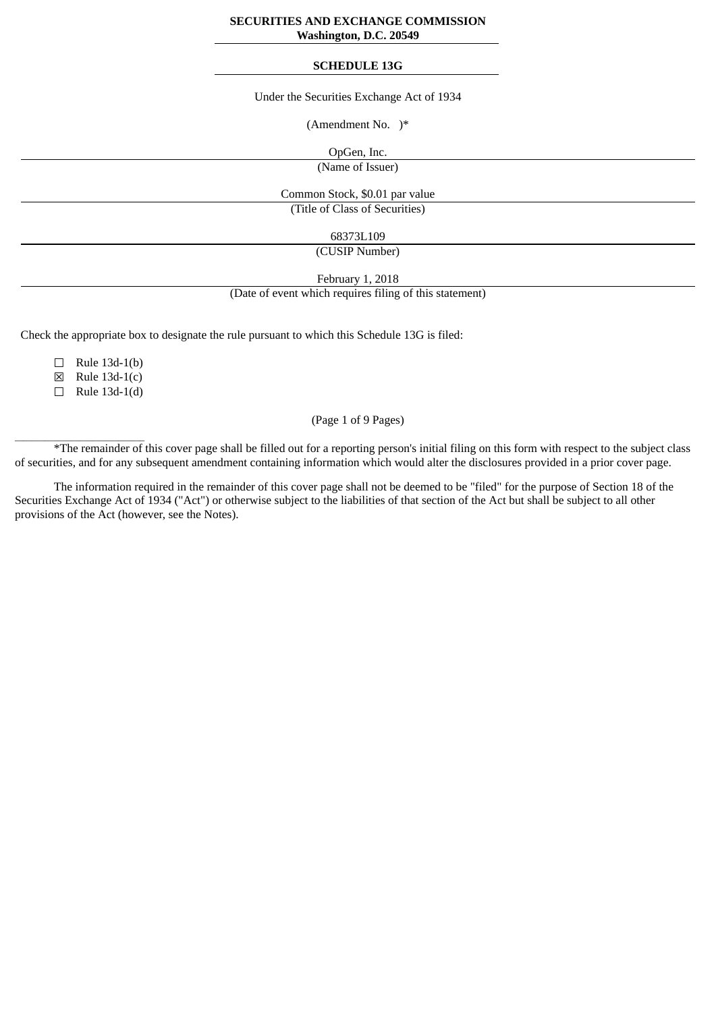## **SECURITIES AND EXCHANGE COMMISSION Washington, D.C. 20549**

#### **SCHEDULE 13G**

#### Under the Securities Exchange Act of 1934

(Amendment No. )\*

OpGen, Inc.

(Name of Issuer)

Common Stock, \$0.01 par value (Title of Class of Securities)

68373L109

(CUSIP Number)

February 1, 2018

(Date of event which requires filing of this statement)

Check the appropriate box to designate the rule pursuant to which this Schedule 13G is filed:

 $\Box$  Rule 13d-1(b)

☒ Rule 13d-1(c)

 $\Box$  Rule 13d-1(d)

 $\frac{1}{2}$  ,  $\frac{1}{2}$  ,  $\frac{1}{2}$  ,  $\frac{1}{2}$  ,  $\frac{1}{2}$  ,  $\frac{1}{2}$  ,  $\frac{1}{2}$  ,  $\frac{1}{2}$  ,  $\frac{1}{2}$  ,  $\frac{1}{2}$  ,  $\frac{1}{2}$  ,  $\frac{1}{2}$  ,  $\frac{1}{2}$  ,  $\frac{1}{2}$  ,  $\frac{1}{2}$  ,  $\frac{1}{2}$  ,  $\frac{1}{2}$  ,  $\frac{1}{2}$  ,  $\frac{1$ 

# (Page 1 of 9 Pages)

\*The remainder of this cover page shall be filled out for a reporting person's initial filing on this form with respect to the subject class of securities, and for any subsequent amendment containing information which would alter the disclosures provided in a prior cover page.

The information required in the remainder of this cover page shall not be deemed to be "filed" for the purpose of Section 18 of the Securities Exchange Act of 1934 ("Act") or otherwise subject to the liabilities of that section of the Act but shall be subject to all other provisions of the Act (however, see the Notes).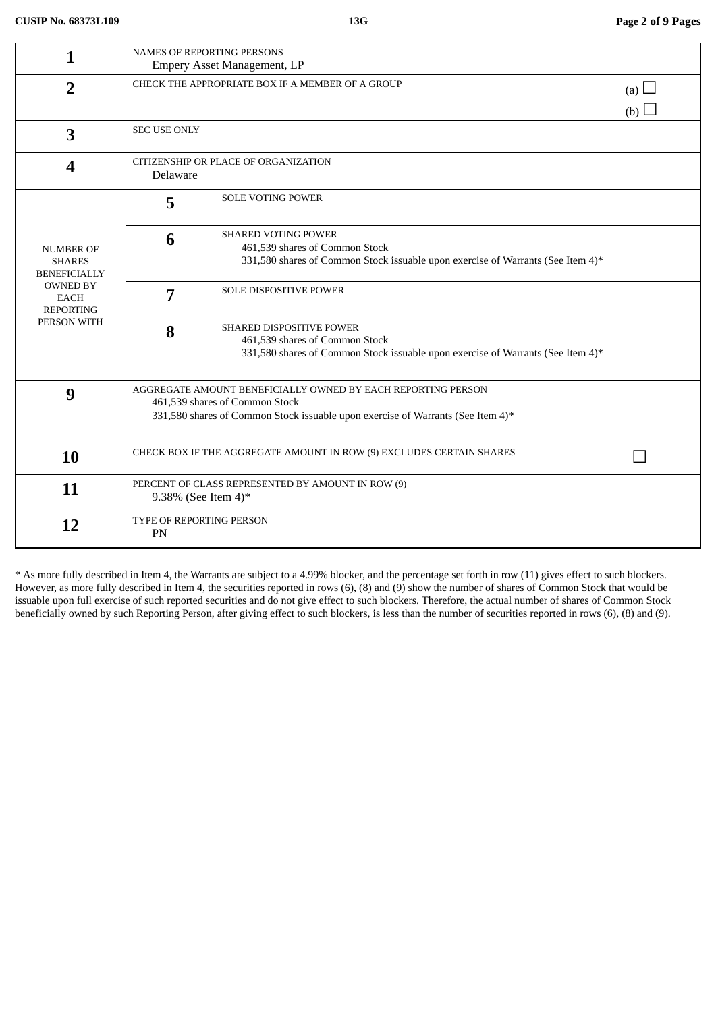| 1                                                        | NAMES OF REPORTING PERSONS                                                                                        |                                                                                 |     |  |  |
|----------------------------------------------------------|-------------------------------------------------------------------------------------------------------------------|---------------------------------------------------------------------------------|-----|--|--|
|                                                          | <b>Empery Asset Management, LP</b><br>CHECK THE APPROPRIATE BOX IF A MEMBER OF A GROUP<br>(a) $\Box$              |                                                                                 |     |  |  |
| $\overline{2}$                                           |                                                                                                                   |                                                                                 |     |  |  |
|                                                          |                                                                                                                   |                                                                                 | (b) |  |  |
| 3                                                        | <b>SEC USE ONLY</b>                                                                                               |                                                                                 |     |  |  |
| $\boldsymbol{4}$                                         | CITIZENSHIP OR PLACE OF ORGANIZATION<br>Delaware                                                                  |                                                                                 |     |  |  |
| <b>NUMBER OF</b><br><b>SHARES</b><br><b>BENEFICIALLY</b> | 5                                                                                                                 | <b>SOLE VOTING POWER</b>                                                        |     |  |  |
|                                                          | 6                                                                                                                 | <b>SHARED VOTING POWER</b><br>461,539 shares of Common Stock                    |     |  |  |
|                                                          |                                                                                                                   | 331,580 shares of Common Stock issuable upon exercise of Warrants (See Item 4)* |     |  |  |
| <b>OWNED BY</b><br><b>EACH</b>                           | 7                                                                                                                 | <b>SOLE DISPOSITIVE POWER</b>                                                   |     |  |  |
| <b>REPORTING</b>                                         |                                                                                                                   |                                                                                 |     |  |  |
| PERSON WITH                                              | 8                                                                                                                 | SHARED DISPOSITIVE POWER<br>461,539 shares of Common Stock                      |     |  |  |
|                                                          |                                                                                                                   | 331,580 shares of Common Stock issuable upon exercise of Warrants (See Item 4)* |     |  |  |
|                                                          |                                                                                                                   |                                                                                 |     |  |  |
| 9                                                        | AGGREGATE AMOUNT BENEFICIALLY OWNED BY EACH REPORTING PERSON                                                      |                                                                                 |     |  |  |
|                                                          | 461,539 shares of Common Stock<br>331,580 shares of Common Stock issuable upon exercise of Warrants (See Item 4)* |                                                                                 |     |  |  |
|                                                          |                                                                                                                   |                                                                                 |     |  |  |
| 10                                                       |                                                                                                                   | CHECK BOX IF THE AGGREGATE AMOUNT IN ROW (9) EXCLUDES CERTAIN SHARES            |     |  |  |
|                                                          |                                                                                                                   |                                                                                 |     |  |  |
| 11                                                       |                                                                                                                   | PERCENT OF CLASS REPRESENTED BY AMOUNT IN ROW (9)                               |     |  |  |
|                                                          | 9.38% (See Item 4)*                                                                                               |                                                                                 |     |  |  |
| 12                                                       | TYPE OF REPORTING PERSON<br><b>PN</b>                                                                             |                                                                                 |     |  |  |
|                                                          |                                                                                                                   |                                                                                 |     |  |  |

\* As more fully described in Item 4, the Warrants are subject to a 4.99% blocker, and the percentage set forth in row (11) gives effect to such blockers. However, as more fully described in Item 4, the securities reported in rows (6), (8) and (9) show the number of shares of Common Stock that would be issuable upon full exercise of such reported securities and do not give effect to such blockers. Therefore, the actual number of shares of Common Stock beneficially owned by such Reporting Person, after giving effect to such blockers, is less than the number of securities reported in rows (6), (8) and (9).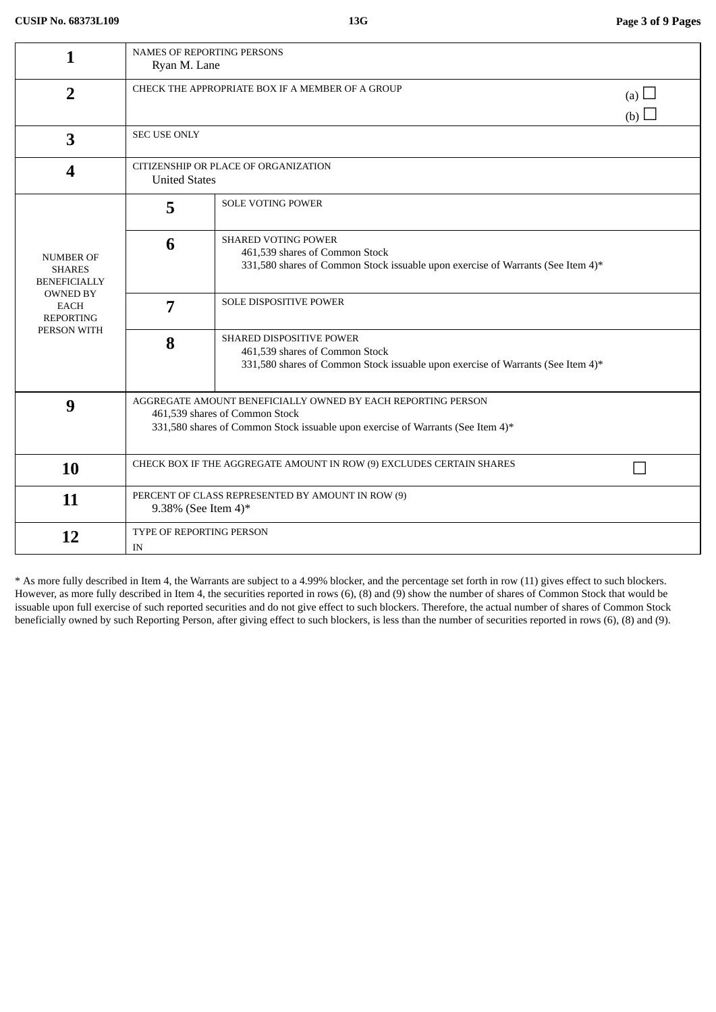| 1                                                                                                                             | <b>NAMES OF REPORTING PERSONS</b><br>Ryan M. Lane                                                                                                                                 |                                                                                                                                                 |  |  |
|-------------------------------------------------------------------------------------------------------------------------------|-----------------------------------------------------------------------------------------------------------------------------------------------------------------------------------|-------------------------------------------------------------------------------------------------------------------------------------------------|--|--|
| $\overline{2}$                                                                                                                |                                                                                                                                                                                   | CHECK THE APPROPRIATE BOX IF A MEMBER OF A GROUP<br>(a) $\Box$<br>(b) $\square$                                                                 |  |  |
| 3                                                                                                                             | <b>SEC USE ONLY</b>                                                                                                                                                               |                                                                                                                                                 |  |  |
| 4                                                                                                                             | CITIZENSHIP OR PLACE OF ORGANIZATION<br><b>United States</b>                                                                                                                      |                                                                                                                                                 |  |  |
| <b>NUMBER OF</b><br><b>SHARES</b><br><b>BENEFICIALLY</b><br><b>OWNED BY</b><br><b>EACH</b><br><b>REPORTING</b><br>PERSON WITH | 5                                                                                                                                                                                 | <b>SOLE VOTING POWER</b>                                                                                                                        |  |  |
|                                                                                                                               | 6                                                                                                                                                                                 | <b>SHARED VOTING POWER</b><br>461,539 shares of Common Stock<br>331,580 shares of Common Stock issuable upon exercise of Warrants (See Item 4)* |  |  |
|                                                                                                                               | 7                                                                                                                                                                                 | SOLE DISPOSITIVE POWER                                                                                                                          |  |  |
|                                                                                                                               | 8                                                                                                                                                                                 | SHARED DISPOSITIVE POWER<br>461,539 shares of Common Stock<br>331,580 shares of Common Stock issuable upon exercise of Warrants (See Item 4)*   |  |  |
| 9                                                                                                                             | AGGREGATE AMOUNT BENEFICIALLY OWNED BY EACH REPORTING PERSON<br>461,539 shares of Common Stock<br>331,580 shares of Common Stock issuable upon exercise of Warrants (See Item 4)* |                                                                                                                                                 |  |  |
| 10                                                                                                                            | CHECK BOX IF THE AGGREGATE AMOUNT IN ROW (9) EXCLUDES CERTAIN SHARES                                                                                                              |                                                                                                                                                 |  |  |
| 11                                                                                                                            | PERCENT OF CLASS REPRESENTED BY AMOUNT IN ROW (9)<br>9.38% (See Item 4)*                                                                                                          |                                                                                                                                                 |  |  |
| 12                                                                                                                            | <b>TYPE OF REPORTING PERSON</b><br>IN                                                                                                                                             |                                                                                                                                                 |  |  |

\* As more fully described in Item 4, the Warrants are subject to a 4.99% blocker, and the percentage set forth in row (11) gives effect to such blockers. However, as more fully described in Item 4, the securities reported in rows (6), (8) and (9) show the number of shares of Common Stock that would be issuable upon full exercise of such reported securities and do not give effect to such blockers. Therefore, the actual number of shares of Common Stock beneficially owned by such Reporting Person, after giving effect to such blockers, is less than the number of securities reported in rows (6), (8) and (9).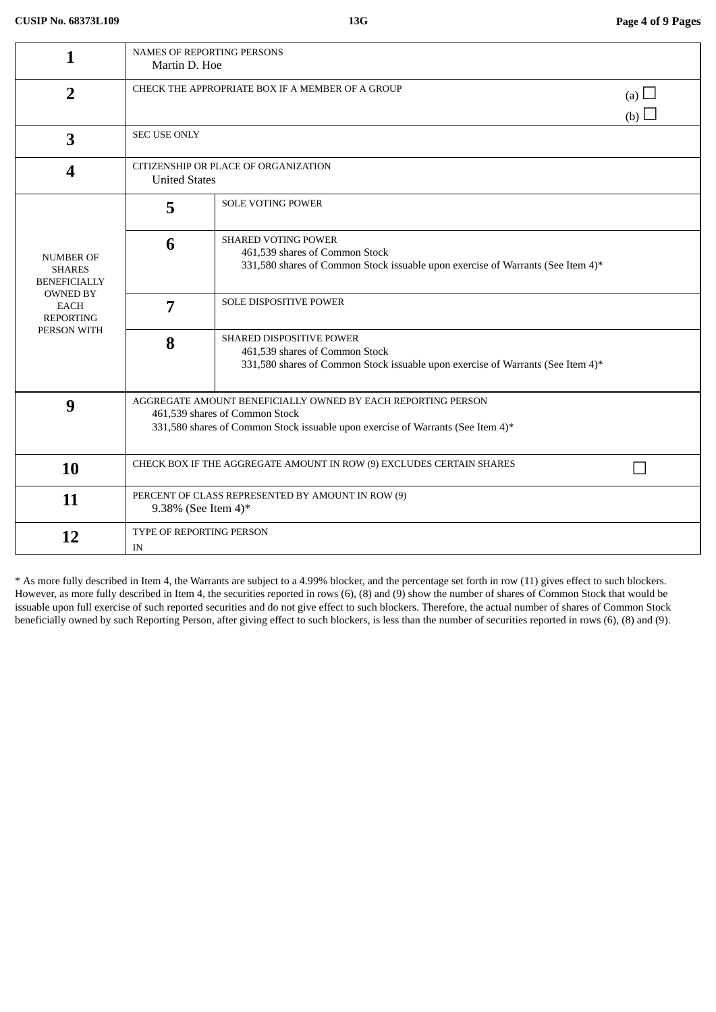| 1                                                                                                                      | <b>NAMES OF REPORTING PERSONS</b><br>Martin D. Hoe                                                                                                                                |                                                                                                                                                 |  |  |
|------------------------------------------------------------------------------------------------------------------------|-----------------------------------------------------------------------------------------------------------------------------------------------------------------------------------|-------------------------------------------------------------------------------------------------------------------------------------------------|--|--|
| $\overline{2}$                                                                                                         |                                                                                                                                                                                   | CHECK THE APPROPRIATE BOX IF A MEMBER OF A GROUP                                                                                                |  |  |
| 3                                                                                                                      | (b)<br><b>SEC USE ONLY</b>                                                                                                                                                        |                                                                                                                                                 |  |  |
| 4                                                                                                                      | CITIZENSHIP OR PLACE OF ORGANIZATION<br><b>United States</b>                                                                                                                      |                                                                                                                                                 |  |  |
| <b>NUMBER OF</b><br><b>SHARES</b><br><b>BENEFICIALLY</b><br><b>OWNED BY</b><br>EACH<br><b>REPORTING</b><br>PERSON WITH | 5                                                                                                                                                                                 | <b>SOLE VOTING POWER</b>                                                                                                                        |  |  |
|                                                                                                                        | 6                                                                                                                                                                                 | <b>SHARED VOTING POWER</b><br>461,539 shares of Common Stock<br>331,580 shares of Common Stock issuable upon exercise of Warrants (See Item 4)* |  |  |
|                                                                                                                        | 7                                                                                                                                                                                 | <b>SOLE DISPOSITIVE POWER</b>                                                                                                                   |  |  |
|                                                                                                                        | 8                                                                                                                                                                                 | SHARED DISPOSITIVE POWER<br>461,539 shares of Common Stock<br>331,580 shares of Common Stock issuable upon exercise of Warrants (See Item 4)*   |  |  |
| 9                                                                                                                      | AGGREGATE AMOUNT BENEFICIALLY OWNED BY EACH REPORTING PERSON<br>461,539 shares of Common Stock<br>331,580 shares of Common Stock issuable upon exercise of Warrants (See Item 4)* |                                                                                                                                                 |  |  |
| <b>10</b>                                                                                                              | CHECK BOX IF THE AGGREGATE AMOUNT IN ROW (9) EXCLUDES CERTAIN SHARES                                                                                                              |                                                                                                                                                 |  |  |
| 11                                                                                                                     | PERCENT OF CLASS REPRESENTED BY AMOUNT IN ROW (9)<br>9.38% (See Item 4)*                                                                                                          |                                                                                                                                                 |  |  |
| 12                                                                                                                     | TYPE OF REPORTING PERSON<br>IN                                                                                                                                                    |                                                                                                                                                 |  |  |

\* As more fully described in Item 4, the Warrants are subject to a 4.99% blocker, and the percentage set forth in row (11) gives effect to such blockers. However, as more fully described in Item 4, the securities reported in rows (6), (8) and (9) show the number of shares of Common Stock that would be issuable upon full exercise of such reported securities and do not give effect to such blockers. Therefore, the actual number of shares of Common Stock beneficially owned by such Reporting Person, after giving effect to such blockers, is less than the number of securities reported in rows (6), (8) and (9).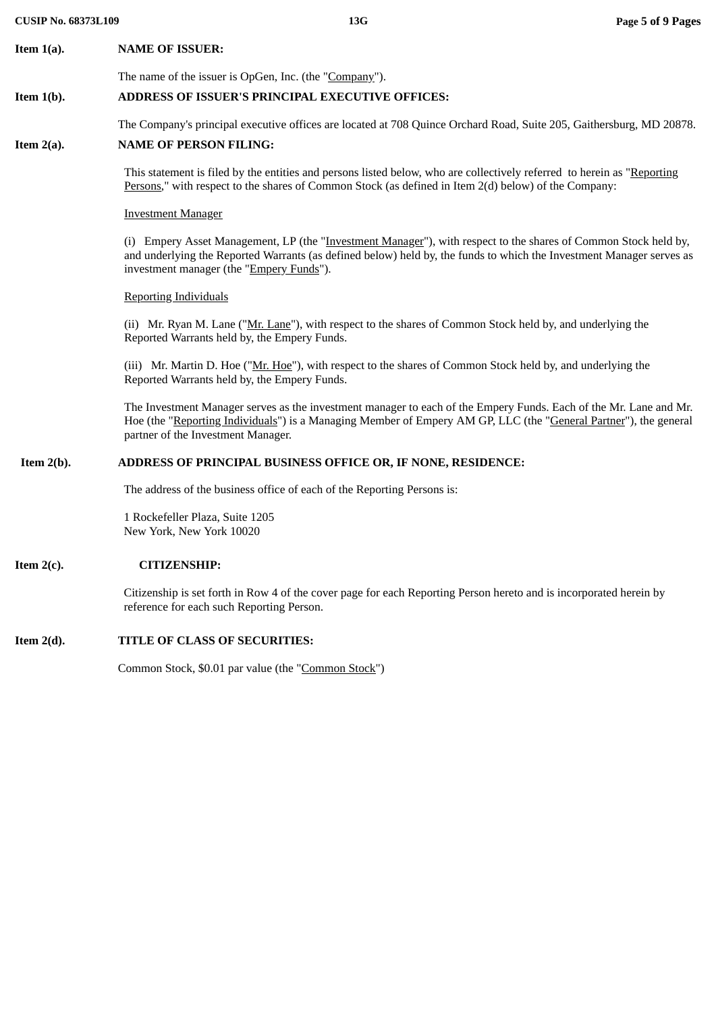The Company's principal executive offices are located at 708 Quince Orchard Road, Suite 205, Gaithersburg, MD 20878.

# **Item 2(a). NAME OF PERSON FILING:**

This statement is filed by the entities and persons listed below, who are collectively referred to herein as "Reporting Persons," with respect to the shares of Common Stock (as defined in Item 2(d) below) of the Company:

#### Investment Manager

(i) Empery Asset Management, LP (the "Investment Manager"), with respect to the shares of Common Stock held by, and underlying the Reported Warrants (as defined below) held by, the funds to which the Investment Manager serves as investment manager (the "Empery Funds").

#### Reporting Individuals

(ii) Mr. Ryan M. Lane ("Mr. Lane"), with respect to the shares of Common Stock held by, and underlying the Reported Warrants held by, the Empery Funds.

(iii) Mr. Martin D. Hoe ("Mr. Hoe"), with respect to the shares of Common Stock held by, and underlying the Reported Warrants held by, the Empery Funds.

The Investment Manager serves as the investment manager to each of the Empery Funds. Each of the Mr. Lane and Mr. Hoe (the "Reporting Individuals") is a Managing Member of Empery AM GP, LLC (the "General Partner"), the general partner of the Investment Manager.

# **Item 2(b). ADDRESS OF PRINCIPAL BUSINESS OFFICE OR, IF NONE, RESIDENCE:**

The address of the business office of each of the Reporting Persons is:

1 Rockefeller Plaza, Suite 1205 New York, New York 10020

# **Item 2(c). CITIZENSHIP:**

Citizenship is set forth in Row 4 of the cover page for each Reporting Person hereto and is incorporated herein by reference for each such Reporting Person.

# **Item 2(d). TITLE OF CLASS OF SECURITIES:**

Common Stock, \$0.01 par value (the "Common Stock")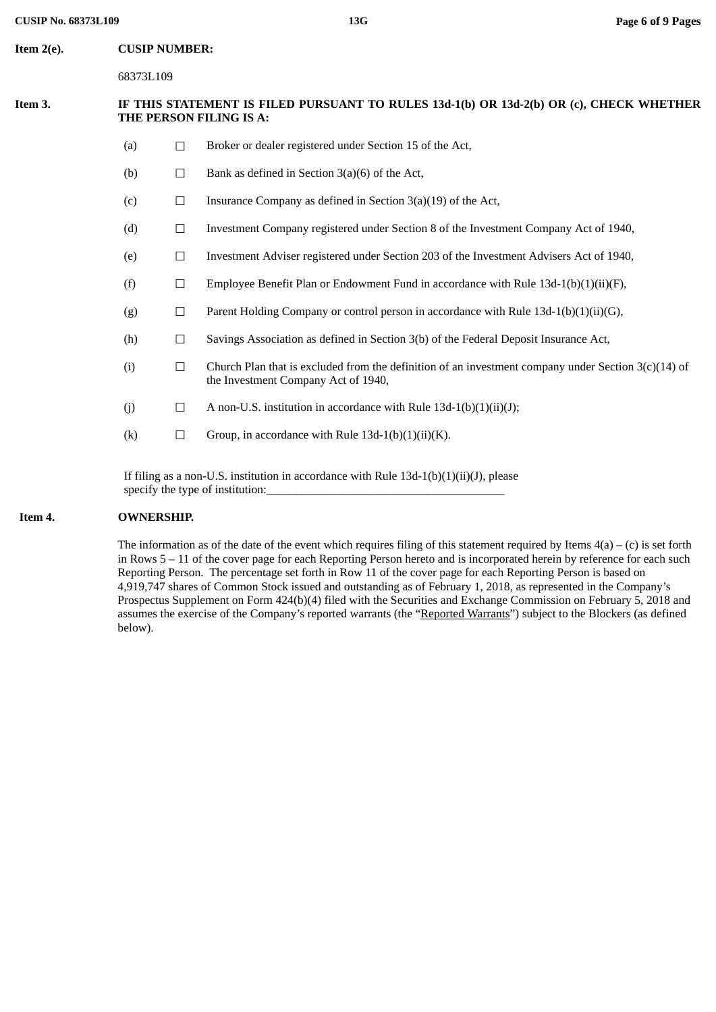| Item 2(e). | <b>CUSIP NUMBER:</b>                                                                                               |        |                                                                                                                                              |  |
|------------|--------------------------------------------------------------------------------------------------------------------|--------|----------------------------------------------------------------------------------------------------------------------------------------------|--|
|            | 68373L109                                                                                                          |        |                                                                                                                                              |  |
| Item 3.    | IF THIS STATEMENT IS FILED PURSUANT TO RULES 13d-1(b) OR 13d-2(b) OR (c), CHECK WHETHER<br>THE PERSON FILING IS A: |        |                                                                                                                                              |  |
|            | (a)                                                                                                                | $\Box$ | Broker or dealer registered under Section 15 of the Act,                                                                                     |  |
|            | (b)                                                                                                                | $\Box$ | Bank as defined in Section 3(a)(6) of the Act,                                                                                               |  |
|            | (c)                                                                                                                | $\Box$ | Insurance Company as defined in Section $3(a)(19)$ of the Act,                                                                               |  |
|            | (d)                                                                                                                | $\Box$ | Investment Company registered under Section 8 of the Investment Company Act of 1940,                                                         |  |
|            | (e)                                                                                                                | $\Box$ | Investment Adviser registered under Section 203 of the Investment Advisers Act of 1940,                                                      |  |
|            | (f)                                                                                                                | $\Box$ | Employee Benefit Plan or Endowment Fund in accordance with Rule 13d-1(b)(1)(ii)(F),                                                          |  |
|            | (g)                                                                                                                | $\Box$ | Parent Holding Company or control person in accordance with Rule 13d-1(b)(1)(ii)(G),                                                         |  |
|            | (h)                                                                                                                | $\Box$ | Savings Association as defined in Section 3(b) of the Federal Deposit Insurance Act,                                                         |  |
|            | (i)                                                                                                                | $\Box$ | Church Plan that is excluded from the definition of an investment company under Section $3(c)(14)$ of<br>the Investment Company Act of 1940, |  |
|            | (j)                                                                                                                | $\Box$ | A non-U.S. institution in accordance with Rule 13d-1(b)(1)(ii)(J);                                                                           |  |
|            | (k)                                                                                                                | $\Box$ | Group, in accordance with Rule $13d-1(b)(1)(ii)(K)$ .                                                                                        |  |
|            | If filing as a non-U.S. institution in accordance with Rule $13d-1(b)(1)(ii)(J)$ , please                          |        |                                                                                                                                              |  |

# **Item 4. OWNERSHIP.**

specify the type of institution:

The information as of the date of the event which requires filing of this statement required by Items  $4(a) - (c)$  is set forth in Rows 5 – 11 of the cover page for each Reporting Person hereto and is incorporated herein by reference for each such Reporting Person. The percentage set forth in Row 11 of the cover page for each Reporting Person is based on 4,919,747 shares of Common Stock issued and outstanding as of February 1, 2018, as represented in the Company's Prospectus Supplement on Form 424(b)(4) filed with the Securities and Exchange Commission on February 5, 2018 and assumes the exercise of the Company's reported warrants (the "Reported Warrants") subject to the Blockers (as defined below).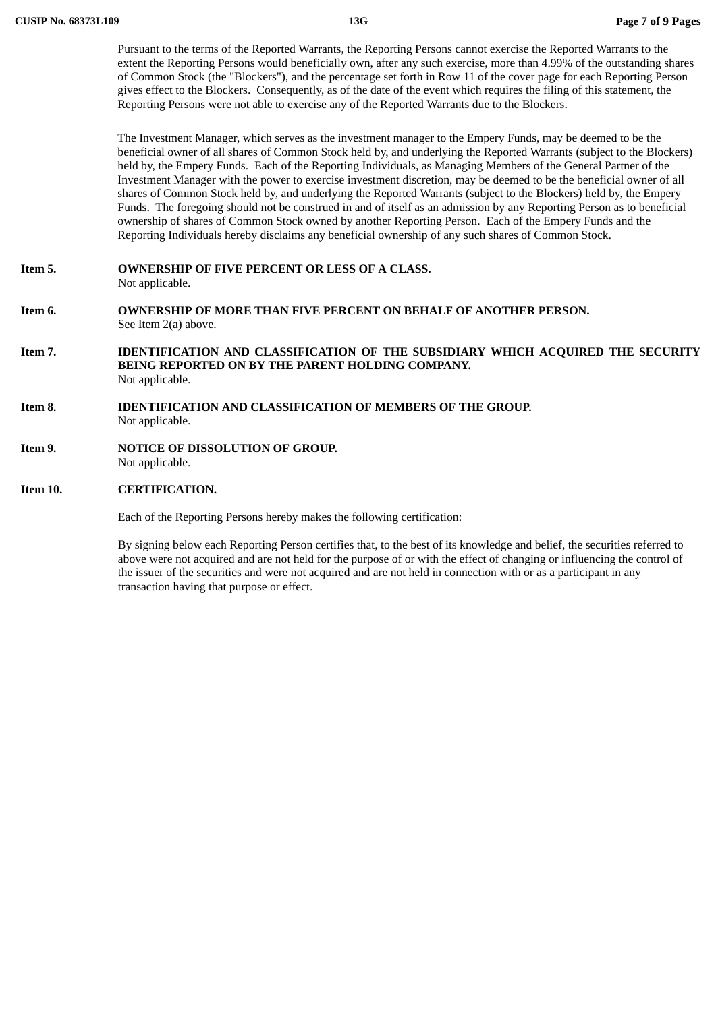Pursuant to the terms of the Reported Warrants, the Reporting Persons cannot exercise the Reported Warrants to the extent the Reporting Persons would beneficially own, after any such exercise, more than 4.99% of the outstanding shares of Common Stock (the "Blockers"), and the percentage set forth in Row 11 of the cover page for each Reporting Person gives effect to the Blockers. Consequently, as of the date of the event which requires the filing of this statement, the Reporting Persons were not able to exercise any of the Reported Warrants due to the Blockers.

The Investment Manager, which serves as the investment manager to the Empery Funds, may be deemed to be the beneficial owner of all shares of Common Stock held by, and underlying the Reported Warrants (subject to the Blockers) held by, the Empery Funds. Each of the Reporting Individuals, as Managing Members of the General Partner of the Investment Manager with the power to exercise investment discretion, may be deemed to be the beneficial owner of all shares of Common Stock held by, and underlying the Reported Warrants (subject to the Blockers) held by, the Empery Funds. The foregoing should not be construed in and of itself as an admission by any Reporting Person as to beneficial ownership of shares of Common Stock owned by another Reporting Person. Each of the Empery Funds and the Reporting Individuals hereby disclaims any beneficial ownership of any such shares of Common Stock.

- **Item 5. OWNERSHIP OF FIVE PERCENT OR LESS OF A CLASS.** Not applicable.
- **Item 6. OWNERSHIP OF MORE THAN FIVE PERCENT ON BEHALF OF ANOTHER PERSON.** See Item 2(a) above.
- **Item 7. IDENTIFICATION AND CLASSIFICATION OF THE SUBSIDIARY WHICH ACQUIRED THE SECURITY BEING REPORTED ON BY THE PARENT HOLDING COMPANY.** Not applicable.
- **Item 8. IDENTIFICATION AND CLASSIFICATION OF MEMBERS OF THE GROUP.** Not applicable.
- **Item 9. NOTICE OF DISSOLUTION OF GROUP.** Not applicable.

#### **Item 10. CERTIFICATION.**

Each of the Reporting Persons hereby makes the following certification:

By signing below each Reporting Person certifies that, to the best of its knowledge and belief, the securities referred to above were not acquired and are not held for the purpose of or with the effect of changing or influencing the control of the issuer of the securities and were not acquired and are not held in connection with or as a participant in any transaction having that purpose or effect.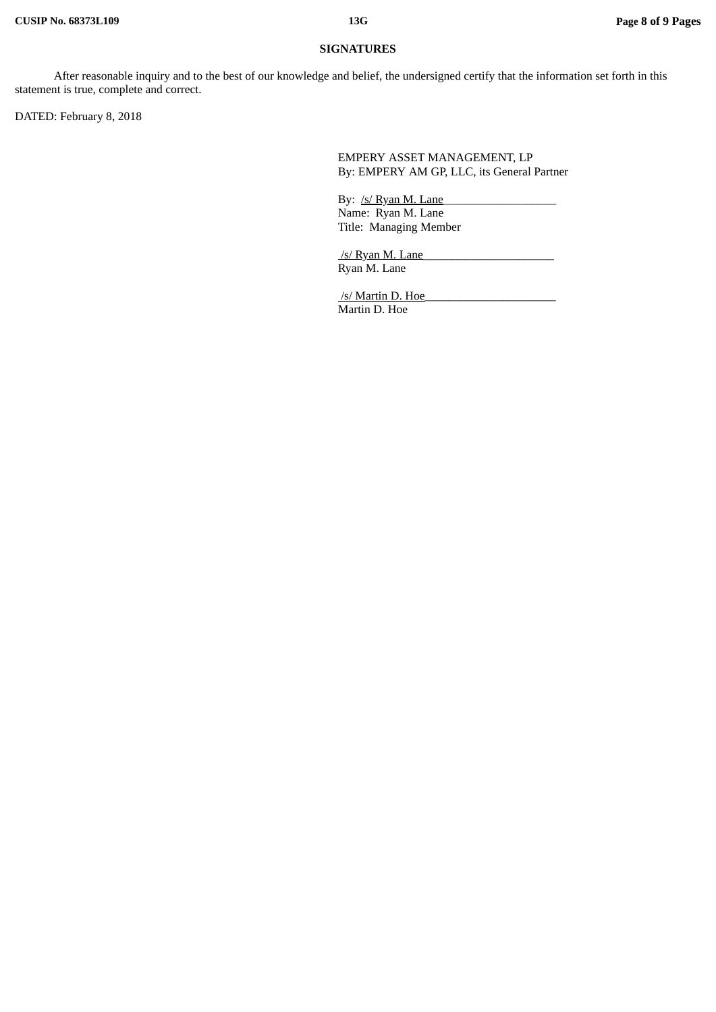## **SIGNATURES**

After reasonable inquiry and to the best of our knowledge and belief, the undersigned certify that the information set forth in this statement is true, complete and correct.

DATED: February 8, 2018

EMPERY ASSET MANAGEMENT, LP By: EMPERY AM GP, LLC, its General Partner

By: /s/ Ryan M. Lane Name: Ryan M. Lane Title: Managing Member

/s/ Ryan M. Lane Ryan M. Lane

/s/ Martin D. Hoe Martin D. Hoe